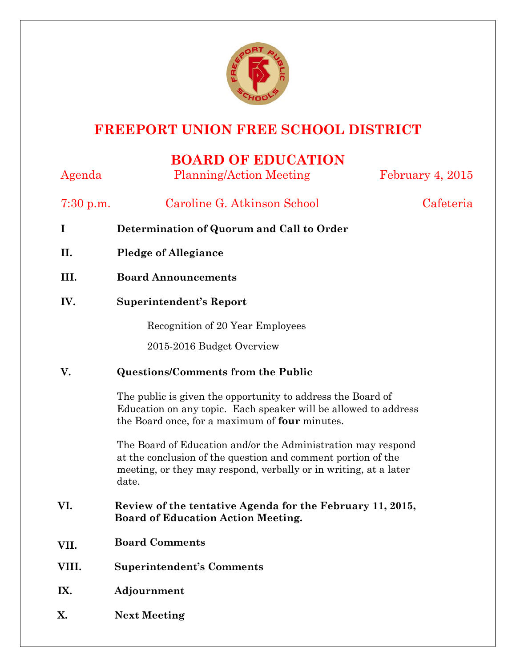

## **FREEPORT UNION FREE SCHOOL DISTRICT**

## **BOARD OF EDUCATION**

| Agenda      | <b>Planning/Action Meeting</b>                                                                                                                                                                            | February 4, 2015 |
|-------------|-----------------------------------------------------------------------------------------------------------------------------------------------------------------------------------------------------------|------------------|
| $7:30$ p.m. | Caroline G. Atkinson School                                                                                                                                                                               | Cafeteria        |
| I           | Determination of Quorum and Call to Order                                                                                                                                                                 |                  |
| II.         | <b>Pledge of Allegiance</b>                                                                                                                                                                               |                  |
| III.        | <b>Board Announcements</b>                                                                                                                                                                                |                  |
| IV.         | <b>Superintendent's Report</b>                                                                                                                                                                            |                  |
|             | Recognition of 20 Year Employees                                                                                                                                                                          |                  |
|             | 2015-2016 Budget Overview                                                                                                                                                                                 |                  |
| V.          | <b>Questions/Comments from the Public</b>                                                                                                                                                                 |                  |
|             | The public is given the opportunity to address the Board of<br>Education on any topic. Each speaker will be allowed to address<br>the Board once, for a maximum of four minutes.                          |                  |
|             | The Board of Education and/or the Administration may respond<br>at the conclusion of the question and comment portion of the<br>meeting, or they may respond, verbally or in writing, at a later<br>date. |                  |
| VI.         | Review of the tentative Agenda for the February 11, 2015,<br><b>Board of Education Action Meeting.</b>                                                                                                    |                  |
| VII.        | <b>Board Comments</b>                                                                                                                                                                                     |                  |
| VIII.       | <b>Superintendent's Comments</b>                                                                                                                                                                          |                  |
| IX.         | Adjournment                                                                                                                                                                                               |                  |
| Х.          | <b>Next Meeting</b>                                                                                                                                                                                       |                  |